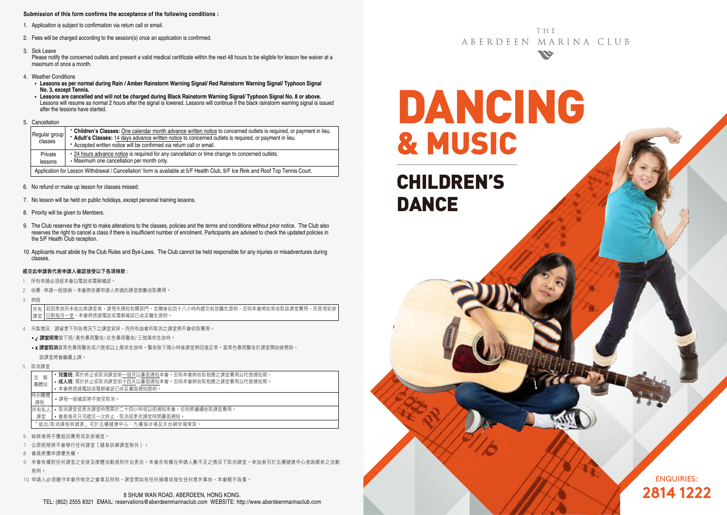#### **Submission of this form confirms the acceptance of the following conditions :**

- 1. Application is subject to confirmation via return call or email.
- 2. Fees will be charged according to the session(s) once an application is confirmed.
- 3. Sick Leave

Please notify the concerned outlets and present a valid medical certificate within the next 48 hours to be eligible for lesson fee waiver at a maximum of once a month.

- 4. Weather Conditions
	- **Lessons as per normal during Rain / Amber Rainstorm Warning Signal/ Red Rainstorm Warning Signal/ Typhoon Signal No. 3, except Tennis.**
	- **Lessons are cancelled and will not be charged during Black Rainstorm Warning Signal/ Typhoon Signal No. 8 or above.** Lessons will resume as normal 2 hours after the signal is lowered. Lessons will continue if the black rainstorm warning signal is issued after the lessons have started.
- 5. Cancellation

|  | Regular group<br>classes                                                                                                        | • Children's Classes: One calendar month advance written notice to concerned outlets is required, or payment in lieu.<br>* Adult's Classes: 14 days advance written notice to concerned outlets is required, or payment in lieu.<br>• Accepted written notice will be confirmed via return call or email. |  |  |  |  |  |
|--|---------------------------------------------------------------------------------------------------------------------------------|-----------------------------------------------------------------------------------------------------------------------------------------------------------------------------------------------------------------------------------------------------------------------------------------------------------|--|--|--|--|--|
|  | Private<br>lessons                                                                                                              | • 24 hours advance notice is required for any cancellation or time change to concerned outlets.<br>• Maximum one cancellation per month only.                                                                                                                                                             |  |  |  |  |  |
|  | Application for Lesson Withdrawal / Cancellation' form is available at 5/F Health Club, 9/F Ice Rink and Roof Top Tennis Court. |                                                                                                                                                                                                                                                                                                           |  |  |  |  |  |

- 6. No refund or make up lesson for classes missed.
- 7. No lesson will be held on public holidays, except personal training lessons.
- 8. Priority will be given to Members.
- 9. The Club reserves the right to make alterations to the classes, policies and the terms and conditions without prior notice. The Club also reserves the right to cancel a class if there is insufficient number of enrolment. Participants are advised to check the updated policies in the 5/F Health Club reception.
- 10. Applicants must abide by the Club Rules and Bye-Laws. The Club cannot be held responsible for any injuries or misadventures during classes.

#### 遞交此申請表代表申請人確認接受以下各項條款 :

- 1. 所有申請必須經本會以電話或電郵確認。
- 2. 收費 : 申請一經接納,本會將依據申請人申請的課堂節數收取費用。
- 3. 病假

若因患病而未能出席課堂者,請預先通知有關部門,並隨後在四十八小時內遞交有效醫生證明,否則本會將如常收取該課堂費用,而是項安排 只限每月一堂。本會將透過電話或電郵確認已收妥醫生證明。 所有 課堂

- 4. 天氣情況 : 請留意下列各情況下之課堂安排,而所有由會所取消之課堂將不會收取費用。
	- / 課堂照常當下雨/ 黃色暴雨警告/ 紅色暴雨警告/ 三號風球生效時。
	- x 課堂取消當黑色暴雨警告或八號或以上風球生效時。警告除下兩小時後課堂將回復正常。當黑色暴雨警告於課堂開始後懸掛, 該課堂將會繼續上課。
- 5. 取消課堂

|  | 期<br>定<br>團體班                                                             | • 兒童班: 需於終止或取消課堂前一個月以書面通知本會。否則本會將收取相應之課堂費用以代替通知期。<br>• 成人班: 需於終止或取消課堂前十四天以書面通知本會。否則本會將收取相應之課堂費用以代替通知期。<br>• 本會將透過電話或電郵確認已收妥書面通知證明。 |  |  |  |  |  |
|--|---------------------------------------------------------------------------|------------------------------------------------------------------------------------------------------------------------------------|--|--|--|--|--|
|  | 特別團體<br>課程                                                                | •課程一經確認將不接受取消。                                                                                                                     |  |  |  |  |  |
|  | • 取消課堂或更改課堂時間需於二十四小時或以前通知本會,否則將繼續收取課堂費用。<br>• 會員每月只可遞交一次終止、取消或更改課堂時間書面通知。 |                                                                                                                                    |  |  |  |  |  |
|  | 「狠出/取消課程申請表,可於五樓健康中心、九樓溜冰場及天台網球場索取。                                       |                                                                                                                                    |  |  |  |  |  |
|  |                                                                           | 6. 缺席者將不獲退回費用或安排補堂。                                                                                                                |  |  |  |  |  |

- 7. 公眾假期將不會舉行任何課堂﹝健身訓練課堂除外﹞。
- 8. 會員將獲申請優先權。
- 9. 本會有權對任何課堂之安排及康體活動規則作出更改。本會亦有權在申請人數不足之情況下取消課堂。參加者可於五樓健康中心查詢最新之活動 規則。
- 10. 申請人必須遵守本會所制定之會章及附則。課堂間如有任何損傷或發生任何意外事故,本會概不負責。

THF ABERDEEN MARINA CLUB **No** 

DANCING & MUSIC

CHILDREN'S DANCE

> ENQUIRIES: **2814 1222**